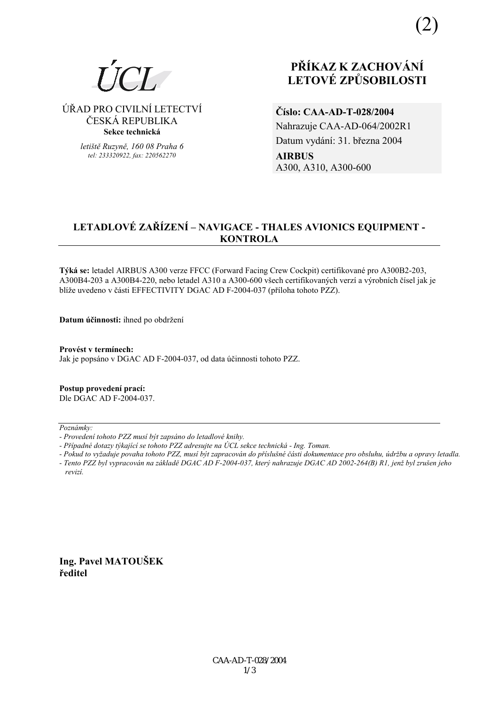

⁄ŘAD PRO CIVILNÕ LETECTVÕ ČESKÁ REPUBLIKA **Sekce technická** 

> *letiötě Ruzyně, 160 08 Praha 6 tel: 233320922, fax: 220562270*

# **PŘÍKAZ K ZACHOVÁNÍ LETOV… ZPŮSOBILOSTI**

**ČÌslo: CAA-AD-T-028/2004**  Nahrazuje CAA-AD-064/2002R1 Datum vydání: 31. března 2004 **AIRBUS**  A300, A310, A300-600

## LETADLOVÉ ZAŘÍZENÍ – NAVIGACE - THALES AVIONICS EQUIPMENT -**KONTROLA**

**T˝k· se:** letadel AIRBUS A300 verze FFCC (Forward Facing Crew Cockpit) certifikovanÈ pro A300B2-203, A300B4-203 a A300B4-220, nebo letadel A310 a A300-600 všech certifikovaných verzí a výrobních čísel jak je blíže uvedeno v části EFFECTIVITY DGAC AD F-2004-037 (příloha tohoto PZZ).

**Datum účinnosti:** ihned po obdržení

Provést v termínech: Jak je popsáno v DGAC AD F-2004-037, od data účinnosti tohoto PZZ.

**Postup provedenÌ pracÌ:**  Dle DGAC AD F-2004-037.

 $Poznámkv$ 

*- Pokud to vyûaduje povaha tohoto PZZ, musÌ b˝t zapracov·n do přÌsluönÈ č·sti dokumentace pro obsluhu, ˙drûbu a opravy letadla. - Tento PZZ byl vypracov·n na z·kladě DGAC AD F-2004-037, kter˝ nahrazuje DGAC AD 2002-264(B) R1, jenû byl zruöen jeho revizÌ.* 

**Ing. Pavel MATOUäEK ředitel** 

*<sup>-</sup> ProvedenÌ tohoto PZZ musÌ b˝t zaps·no do letadlovÈ knihy.* 

<sup>-</sup> Případné dotazy týkající se tohoto PZZ adresujte na ÚCL sekce technická - Ing. Toman.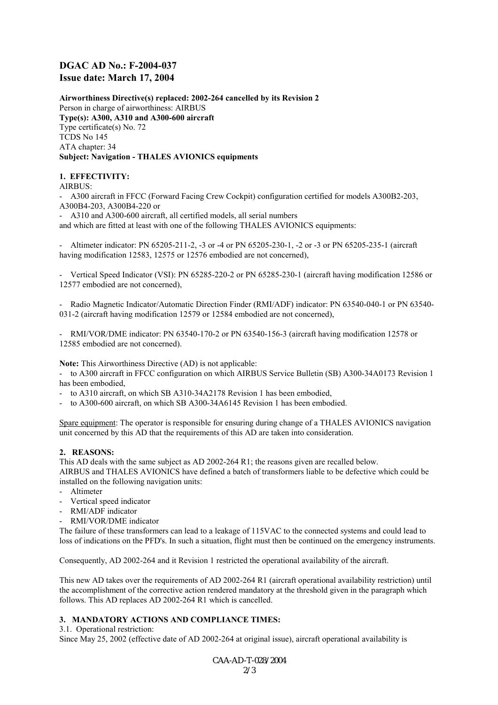### **DGAC AD No.: F-2004-037 Issue date: March 17, 2004**

**Airworthiness Directive(s) replaced: 2002-264 cancelled by its Revision 2**  Person in charge of airworthiness: AIRBUS **Type(s): A300, A310 and A300-600 aircraft**  Type certificate(s) No. 72 TCDS No 145 ATA chapter: 34 **Subject: Navigation - THALES AVIONICS equipments** 

#### **1. EFFECTIVITY:**

AIRBUS:

- A300 aircraft in FFCC (Forward Facing Crew Cockpit) configuration certified for models A300B2-203, A300B4-203, A300B4-220 or

- A310 and A300-600 aircraft, all certified models, all serial numbers

and which are fitted at least with one of the following THALES AVIONICS equipments:

- Altimeter indicator: PN 65205-211-2, -3 or -4 or PN 65205-230-1, -2 or -3 or PN 65205-235-1 (aircraft having modification 12583, 12575 or 12576 embodied are not concerned),

- Vertical Speed Indicator (VSI): PN 65285-220-2 or PN 65285-230-1 (aircraft having modification 12586 or 12577 embodied are not concerned),

- Radio Magnetic Indicator/Automatic Direction Finder (RMI/ADF) indicator: PN 63540-040-1 or PN 63540- 031-2 (aircraft having modification 12579 or 12584 embodied are not concerned),

- RMI/VOR/DME indicator: PN 63540-170-2 or PN 63540-156-3 (aircraft having modification 12578 or 12585 embodied are not concerned).

**Note:** This Airworthiness Directive (AD) is not applicable:

- to A300 aircraft in FFCC configuration on which AIRBUS Service Bulletin (SB) A300-34A0173 Revision 1 has been embodied,

to A310 aircraft, on which SB A310-34A2178 Revision 1 has been embodied,

to A300-600 aircraft, on which SB A300-34A6145 Revision 1 has been embodied.

Spare equipment: The operator is responsible for ensuring during change of a THALES AVIONICS navigation unit concerned by this AD that the requirements of this AD are taken into consideration.

#### **2. REASONS:**

This AD deals with the same subject as AD 2002-264 R1; the reasons given are recalled below. AIRBUS and THALES AVIONICS have defined a batch of transformers liable to be defective which could be installed on the following navigation units:

- Altimeter
- Vertical speed indicator
- RMI/ADF indicator
- RMI/VOR/DME indicator

The failure of these transformers can lead to a leakage of 115VAC to the connected systems and could lead to loss of indications on the PFD's. In such a situation, flight must then be continued on the emergency instruments.

Consequently, AD 2002-264 and it Revision 1 restricted the operational availability of the aircraft.

This new AD takes over the requirements of AD 2002-264 R1 (aircraft operational availability restriction) until the accomplishment of the corrective action rendered mandatory at the threshold given in the paragraph which follows. This AD replaces AD 2002-264 R1 which is cancelled.

#### **3. MANDATORY ACTIONS AND COMPLIANCE TIMES:**

3.1. Operational restriction: Since May 25, 2002 (effective date of AD 2002-264 at original issue), aircraft operational availability is